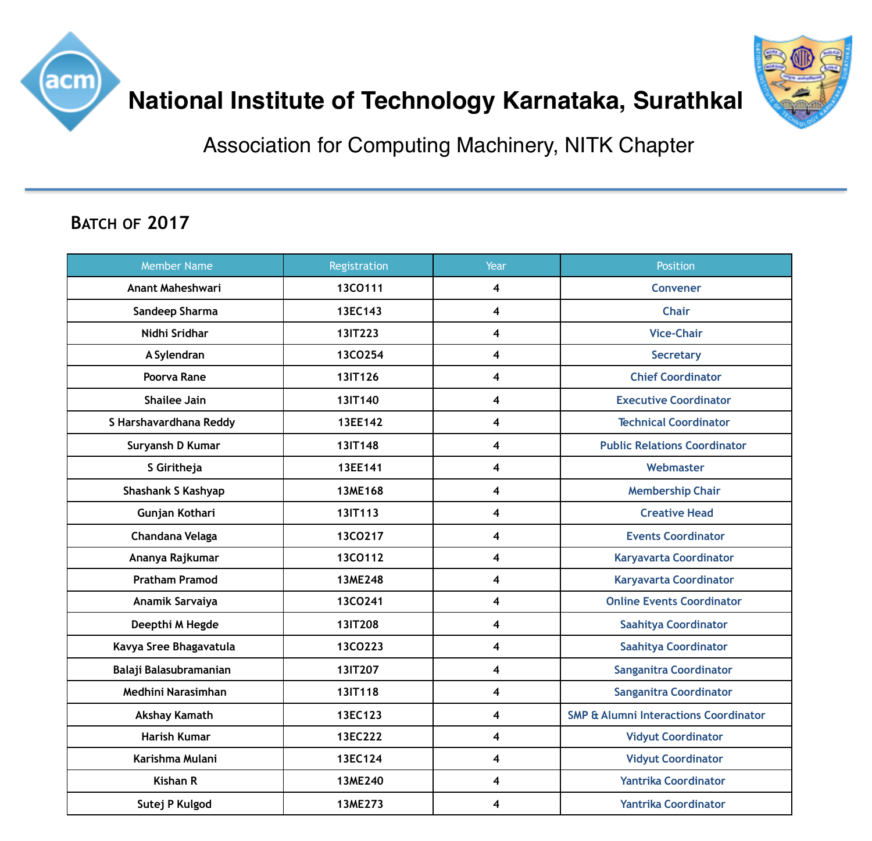



## **National Institute of Technology Karnataka, Surathkal**

Association for Computing Machinery, NITK Chapter

## **BATCH OF 2017**

| <b>Member Name</b>        | Registration | Year                    | <b>Position</b>                                  |
|---------------------------|--------------|-------------------------|--------------------------------------------------|
| <b>Anant Maheshwari</b>   | 13CO111      | 4                       | <b>Convener</b>                                  |
| Sandeep Sharma            | 13EC143      | 4                       | <b>Chair</b>                                     |
| Nidhi Sridhar             | 13IT223      | 4                       | <b>Vice-Chair</b>                                |
| A Sylendran               | 13CO254      | 4                       | <b>Secretary</b>                                 |
| Poorva Rane               | 13IT126      | 4                       | <b>Chief Coordinator</b>                         |
| <b>Shailee Jain</b>       | 13IT140      | 4                       | <b>Executive Coordinator</b>                     |
| S Harshavardhana Reddy    | 13EE142      | $\overline{\mathbf{4}}$ | <b>Technical Coordinator</b>                     |
| Suryansh D Kumar          | 13IT148      | 4                       | <b>Public Relations Coordinator</b>              |
| S Giritheja               | 13EE141      | 4                       | Webmaster                                        |
| <b>Shashank S Kashyap</b> | 13ME168      | 4                       | <b>Membership Chair</b>                          |
| Gunjan Kothari            | 13IT113      | $\overline{\mathbf{4}}$ | <b>Creative Head</b>                             |
| Chandana Velaga           | 13CO217      | 4                       | <b>Events Coordinator</b>                        |
| Ananya Rajkumar           | 13CO112      | 4                       | <b>Karyavarta Coordinator</b>                    |
| <b>Pratham Pramod</b>     | 13ME248      | $\overline{\mathbf{4}}$ | <b>Karyavarta Coordinator</b>                    |
| Anamik Sarvaiya           | 13CO241      | 4                       | <b>Online Events Coordinator</b>                 |
| Deepthi M Hegde           | 13IT208      | 4                       | <b>Saahitya Coordinator</b>                      |
| Kavya Sree Bhagavatula    | 13CO223      | 4                       | <b>Saahitya Coordinator</b>                      |
| Balaji Balasubramanian    | 13IT207      | 4                       | <b>Sanganitra Coordinator</b>                    |
| Medhini Narasimhan        | 13IT118      | 4                       | <b>Sanganitra Coordinator</b>                    |
| <b>Akshay Kamath</b>      | 13EC123      | 4                       | <b>SMP &amp; Alumni Interactions Coordinator</b> |
| <b>Harish Kumar</b>       | 13EC222      | $\overline{\mathbf{4}}$ | <b>Vidyut Coordinator</b>                        |
| Karishma Mulani           | 13EC124      | $\overline{\mathbf{4}}$ | <b>Vidyut Coordinator</b>                        |
| <b>Kishan R</b>           | 13ME240      | 4                       | <b>Yantrika Coordinator</b>                      |
| Sutej P Kulgod            | 13ME273      | 4                       | <b>Yantrika Coordinator</b>                      |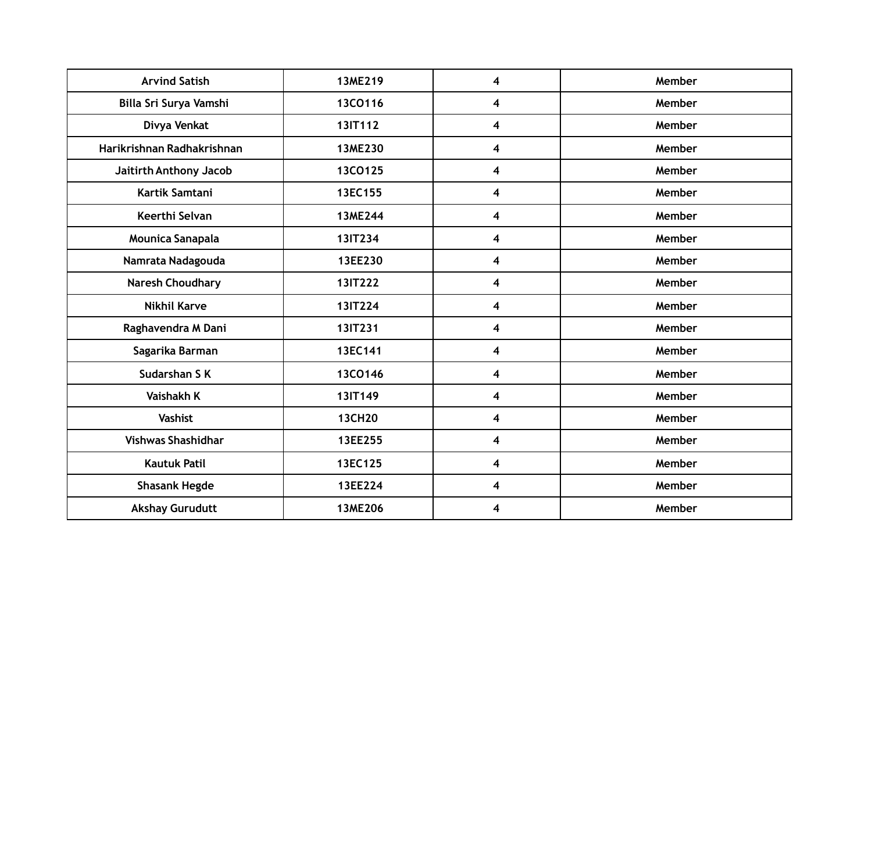| <b>Arvind Satish</b>       | 13ME219       | 4                       | Member |
|----------------------------|---------------|-------------------------|--------|
| Billa Sri Surya Vamshi     | 13CO116       | $\overline{\mathbf{4}}$ | Member |
| Divya Venkat               | 13IT112       | $\overline{\mathbf{4}}$ | Member |
| Harikrishnan Radhakrishnan | 13ME230       | 4                       | Member |
| Jaitirth Anthony Jacob     | 13CO125       | $\overline{\mathbf{4}}$ | Member |
| Kartik Samtani             | 13EC155       | 4                       | Member |
| Keerthi Selvan             | 13ME244       | 4                       | Member |
| Mounica Sanapala           | 13IT234       | 4                       | Member |
| Namrata Nadagouda          | 13EE230       | $\overline{\mathbf{4}}$ | Member |
| <b>Naresh Choudhary</b>    | 13IT222       | $\overline{\mathbf{4}}$ | Member |
| <b>Nikhil Karve</b>        | 13IT224       | $\overline{\mathbf{4}}$ | Member |
| Raghavendra M Dani         | 13IT231       | $\overline{\mathbf{4}}$ | Member |
| Sagarika Barman            | 13EC141       | 4                       | Member |
| Sudarshan S K              | 13CO146       | $\overline{\mathbf{4}}$ | Member |
| <b>Vaishakh K</b>          | 13IT149       | 4                       | Member |
| <b>Vashist</b>             | <b>13CH20</b> | $\overline{\mathbf{4}}$ | Member |
| <b>Vishwas Shashidhar</b>  | 13EE255       | $\overline{\mathbf{4}}$ | Member |
| <b>Kautuk Patil</b>        | 13EC125       | $\overline{\mathbf{4}}$ | Member |
| <b>Shasank Hegde</b>       | 13EE224       | 4                       | Member |
| <b>Akshay Gurudutt</b>     | 13ME206       | 4                       | Member |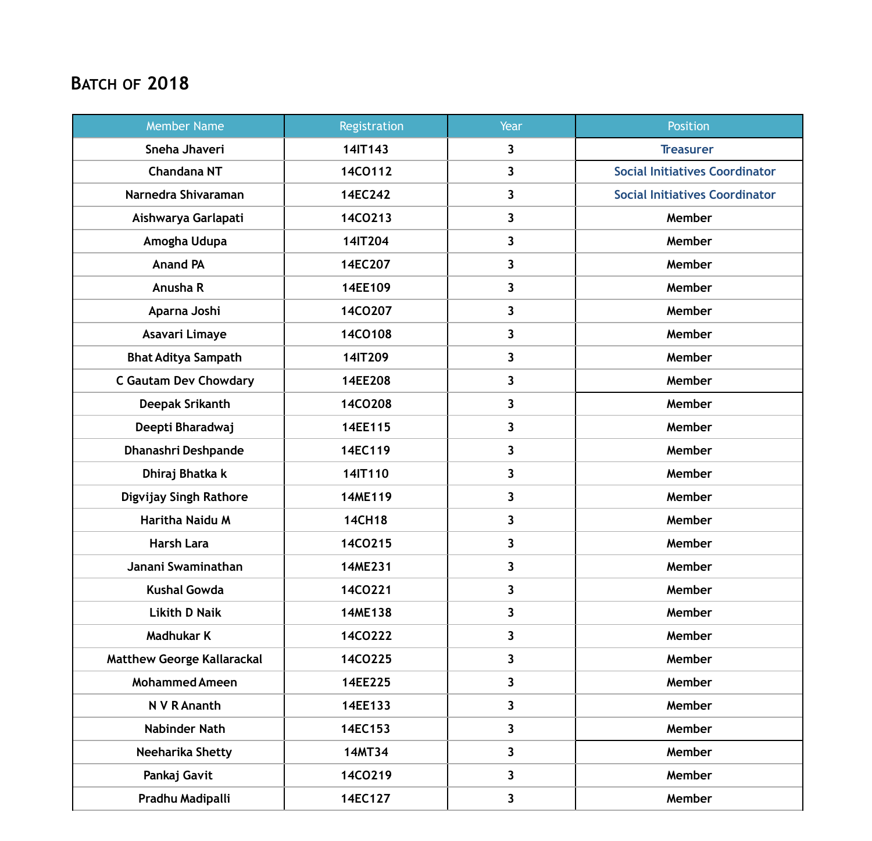## **BATCH OF 2018**

| <b>Member Name</b>                | Registration  | Year                    | <b>Position</b>                       |
|-----------------------------------|---------------|-------------------------|---------------------------------------|
| Sneha Jhaveri                     | 14IT143       | $\overline{\mathbf{3}}$ | <b>Treasurer</b>                      |
| <b>Chandana NT</b>                | 14CO112       | 3                       | <b>Social Initiatives Coordinator</b> |
| Narnedra Shivaraman               | 14EC242       | $\overline{\mathbf{3}}$ | <b>Social Initiatives Coordinator</b> |
| Aishwarya Garlapati               | 14CO213       | 3                       | Member                                |
| Amogha Udupa                      | 14IT204       | 3                       | Member                                |
| <b>Anand PA</b>                   | 14EC207       | 3                       | Member                                |
| Anusha R                          | 14EE109       | 3                       | Member                                |
| Aparna Joshi                      | 14CO207       | 3                       | Member                                |
| Asavari Limaye                    | 14CO108       | $\overline{\mathbf{3}}$ | Member                                |
| <b>Bhat Aditya Sampath</b>        | 14IT209       | 3                       | Member                                |
| <b>C Gautam Dev Chowdary</b>      | 14EE208       | 3                       | Member                                |
| <b>Deepak Srikanth</b>            | 14CO208       | 3                       | Member                                |
| Deepti Bharadwaj                  | 14EE115       | 3                       | Member                                |
| Dhanashri Deshpande               | 14EC119       | 3                       | Member                                |
| Dhiraj Bhatka k                   | 14IT110       | 3                       | Member                                |
| Digvijay Singh Rathore            | 14ME119       | $\overline{\mathbf{3}}$ | Member                                |
| Haritha Naidu M                   | <b>14CH18</b> | 3                       | Member                                |
| <b>Harsh Lara</b>                 | 14CO215       | 3                       | Member                                |
| Janani Swaminathan                | 14ME231       | 3                       | Member                                |
| <b>Kushal Gowda</b>               | 14CO221       | 3                       | Member                                |
| <b>Likith D Naik</b>              | 14ME138       | $\overline{\mathbf{3}}$ | Member                                |
| <b>Madhukar K</b>                 | 14CO222       | $\overline{\mathbf{3}}$ | Member                                |
| <b>Matthew George Kallarackal</b> | 14CO225       | $\overline{\mathbf{3}}$ | Member                                |
| <b>Mohammed Ameen</b>             | 14EE225       | 3                       | Member                                |
| N V R Ananth                      | 14EE133       | 3                       | Member                                |
| <b>Nabinder Nath</b>              | 14EC153       | $\overline{\mathbf{3}}$ | Member                                |
| Neeharika Shetty                  | <b>14MT34</b> | $\overline{\mathbf{3}}$ | Member                                |
| Pankaj Gavit                      | 14CO219       | $\overline{\mathbf{3}}$ | Member                                |
| Pradhu Madipalli                  | 14EC127       | 3                       | Member                                |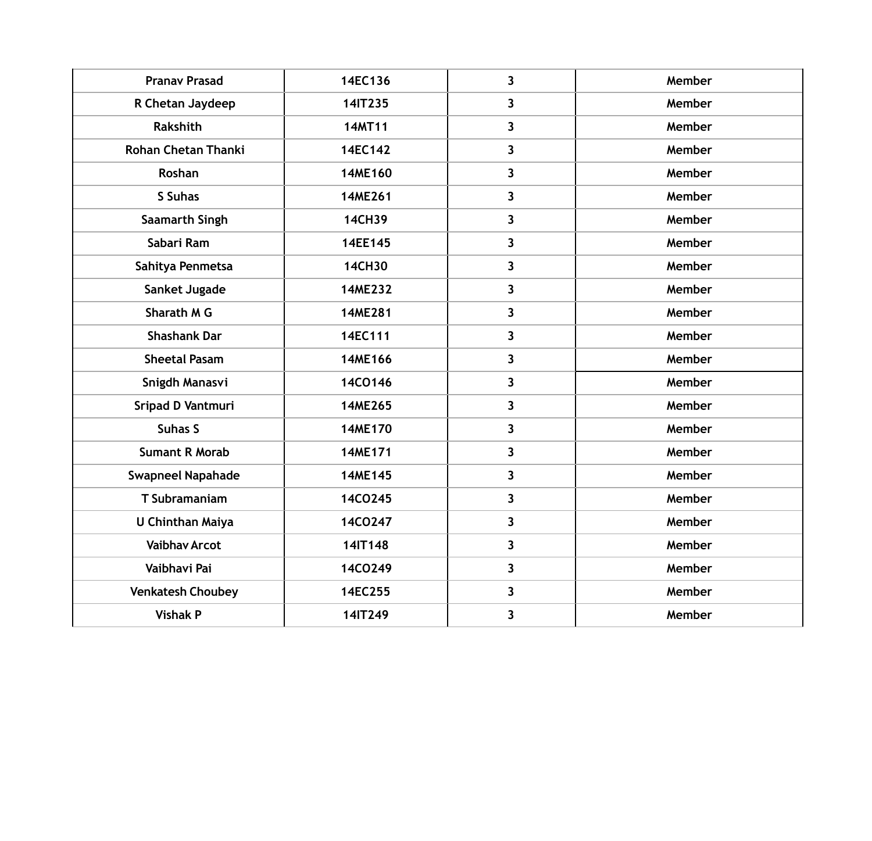| <b>Pranav Prasad</b>       | 14EC136       | $\overline{\mathbf{3}}$ | Member |
|----------------------------|---------------|-------------------------|--------|
| R Chetan Jaydeep           | 14IT235       | $\mathbf{3}$            | Member |
| <b>Rakshith</b>            | 14MT11        | $\mathbf{3}$            | Member |
| <b>Rohan Chetan Thanki</b> | 14EC142       | 3                       | Member |
| Roshan                     | 14ME160       | 3                       | Member |
| S Suhas                    | 14ME261       | 3                       | Member |
| <b>Saamarth Singh</b>      | 14CH39        | 3                       | Member |
| Sabari Ram                 | 14EE145       | $\mathbf{3}$            | Member |
| Sahitya Penmetsa           | <b>14CH30</b> | $\mathbf{3}$            | Member |
| Sanket Jugade              | 14ME232       | $\mathbf{3}$            | Member |
| Sharath M G                | 14ME281       | 3                       | Member |
| <b>Shashank Dar</b>        | 14EC111       | 3                       | Member |
| <b>Sheetal Pasam</b>       | 14ME166       | $\overline{\mathbf{3}}$ | Member |
| Snigdh Manasvi             | 14CO146       | $\mathbf{3}$            | Member |
| Sripad D Vantmuri          | 14ME265       | $\mathbf{3}$            | Member |
| <b>Suhas S</b>             | 14ME170       | 3                       | Member |
| <b>Sumant R Morab</b>      | 14ME171       | 3                       | Member |
| <b>Swapneel Napahade</b>   | 14ME145       | 3                       | Member |
| <b>T</b> Subramaniam       | 14CO245       | 3                       | Member |
| <b>U Chinthan Maiya</b>    | 14CO247       | 3                       | Member |
| <b>Vaibhav Arcot</b>       | 14IT148       | $\mathbf{3}$            | Member |
| Vaibhavi Pai               | 14CO249       | $\mathbf{3}$            | Member |
| <b>Venkatesh Choubey</b>   | 14EC255       | $\mathbf{3}$            | Member |
| <b>Vishak P</b>            | 14IT249       | $\mathbf{3}$            | Member |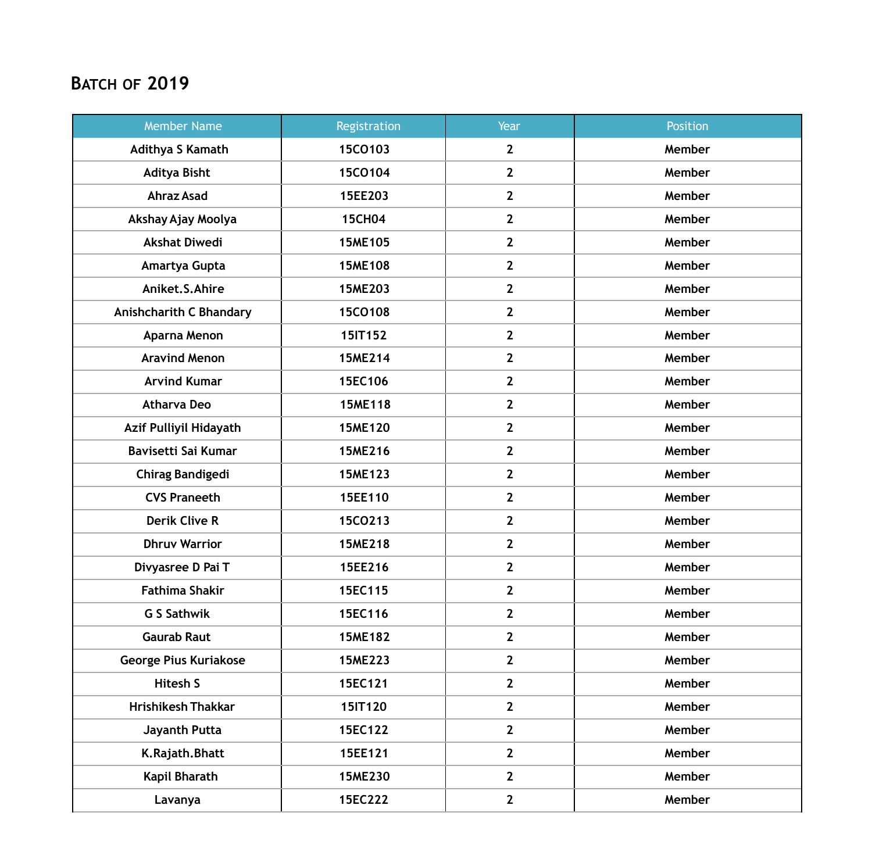## **BATCH OF 2019**

| <b>Member Name</b>             | Registration   | Year           | Position |
|--------------------------------|----------------|----------------|----------|
| <b>Adithya S Kamath</b>        | 15CO103        | $\mathbf{2}$   | Member   |
| <b>Aditya Bisht</b>            | 15CO104        | $\mathbf{2}$   | Member   |
| <b>Ahraz Asad</b>              | 15EE203        | $\overline{2}$ | Member   |
| Akshay Ajay Moolya             | <b>15CH04</b>  | $\overline{2}$ | Member   |
| <b>Akshat Diwedi</b>           | 15ME105        | $\mathbf{2}$   | Member   |
| Amartya Gupta                  | 15ME108        | $\overline{2}$ | Member   |
| Aniket.S.Ahire                 | 15ME203        | $\mathbf{2}$   | Member   |
| <b>Anishcharith C Bhandary</b> | 15CO108        | $\mathbf{2}$   | Member   |
| Aparna Menon                   | 15IT152        | $\overline{2}$ | Member   |
| <b>Aravind Menon</b>           | <b>15ME214</b> | $\mathbf{2}$   | Member   |
| <b>Arvind Kumar</b>            | 15EC106        | $\mathbf{2}$   | Member   |
| <b>Atharva Deo</b>             | 15ME118        | $\overline{2}$ | Member   |
| Azif Pulliyil Hidayath         | <b>15ME120</b> | $\overline{2}$ | Member   |
| Bavisetti Sai Kumar            | 15ME216        | $\overline{2}$ | Member   |
| <b>Chirag Bandigedi</b>        | 15ME123        | $\mathbf{2}$   | Member   |
| <b>CVS Praneeth</b>            | 15EE110        | $\mathbf{2}$   | Member   |
| <b>Derik Clive R</b>           | 15CO213        | $\mathbf{2}$   | Member   |
| <b>Dhruv Warrior</b>           | <b>15ME218</b> | $\overline{2}$ | Member   |
| Divyasree D Pai T              | 15EE216        | $\mathbf{2}$   | Member   |
| Fathima Shakir                 | 15EC115        | $2^{\circ}$    | Member   |
| <b>G S Sathwik</b>             | 15EC116        | $\overline{2}$ | Member   |
| <b>Gaurab Raut</b>             | <b>15ME182</b> | $\overline{2}$ | Member   |
| <b>George Pius Kuriakose</b>   | 15ME223        | $\overline{2}$ | Member   |
| <b>Hitesh S</b>                | 15EC121        | $\overline{2}$ | Member   |
| <b>Hrishikesh Thakkar</b>      | 15IT120        | $2^{\circ}$    | Member   |
| Jayanth Putta                  | 15EC122        | $\mathbf{2}$   | Member   |
| K.Rajath.Bhatt                 | 15EE121        | $\overline{2}$ | Member   |
| Kapil Bharath                  | 15ME230        | $\overline{2}$ | Member   |
| Lavanya                        | 15EC222        | $\mathbf{2}$   | Member   |